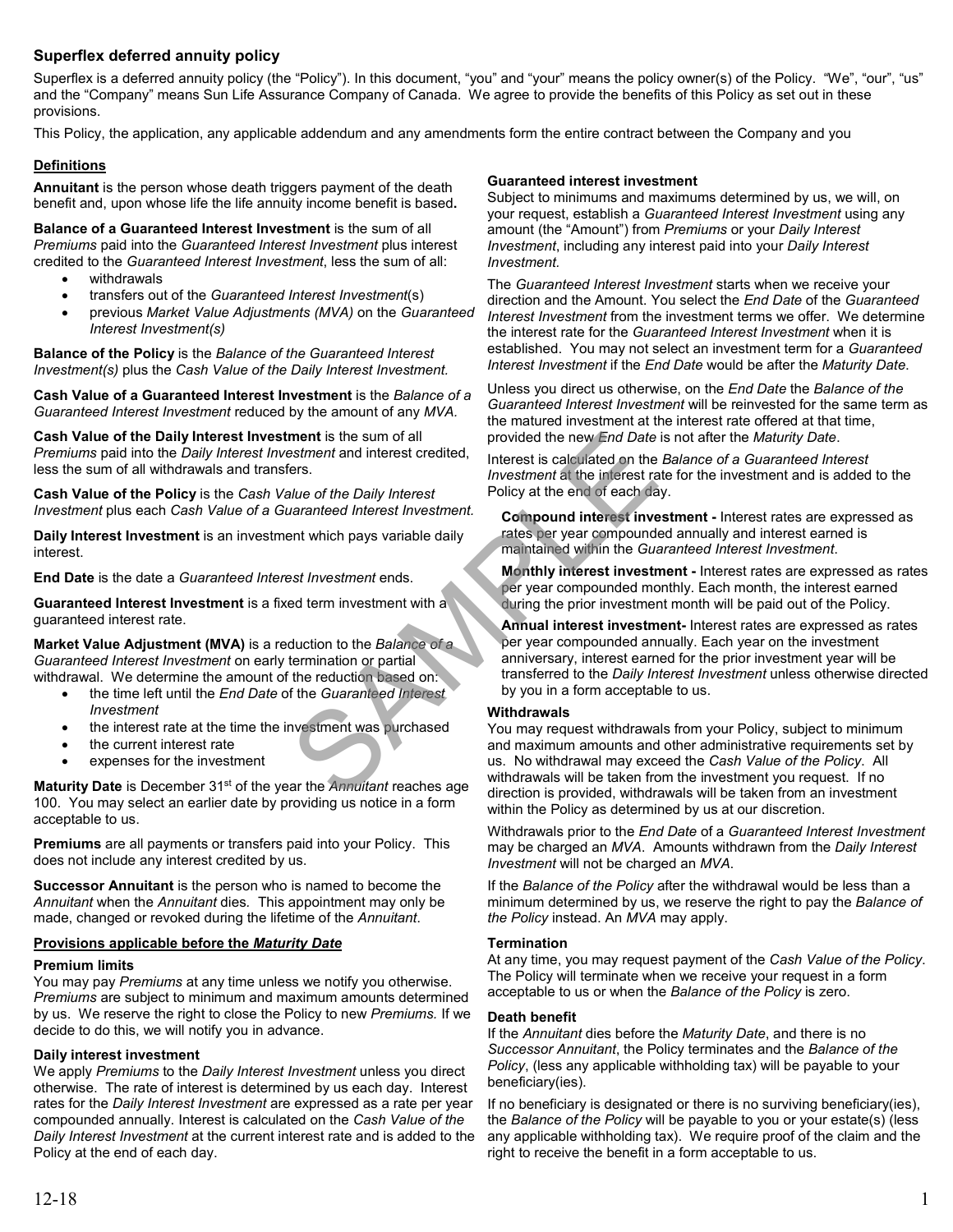# **Superflex deferred annuity policy**

Superflex is a deferred annuity policy (the "Policy"). In this document, "you" and "your" means the policy owner(s) of the Policy. "We", "our", "us" and the "Company" means Sun Life Assurance Company of Canada. We agree to provide the benefits of this Policy as set out in these provisions.

This Policy, the application, any applicable addendum and any amendments form the entire contract between the Company and you

## **Definitions**

**Annuitant** is the person whose death triggers payment of the death benefit and, upon whose life the life annuity income benefit is based**.** 

**Balance of a Guaranteed Interest Investment** is the sum of all *Premiums* paid into the *Guaranteed Interest Investment* plus interest credited to the *Guaranteed Interest Investment*, less the sum of all:

- withdrawals
- transfers out of the *Guaranteed Interest Investment*(s)
- previous *Market Value Adjustments (MVA)* on the *Guaranteed Interest Investment(s)*

**Balance of the Policy** is the *Balance of the Guaranteed Interest Investment(s)* plus the *Cash Value of the Daily Interest Investment.*

**Cash Value of a Guaranteed Interest Investment** is the *Balance of a Guaranteed Interest Investment* reduced by the amount of any *MVA.*

**Cash Value of the Daily Interest Investment** is the sum of all *Premiums* paid into the *Daily Interest Investment* and interest credited, less the sum of all withdrawals and transfers.

**Cash Value of the Policy** is the *Cash Value of the Daily Interest Investment* plus each *Cash Value of a Guaranteed Interest Investment.*

**Daily Interest Investment** is an investment which pays variable daily interest.

**End Date** is the date a *Guaranteed Interest Investment* ends.

**Guaranteed Interest Investment** is a fixed term investment with a guaranteed interest rate.

**Market Value Adjustment (MVA)** is a reduction to the *Balance of a Guaranteed Interest Investment* on early termination or partial withdrawal. We determine the amount of the reduction based on:

- the time left until the *End Date* of the *Guaranteed Interest Investment*
- the interest rate at the time the investment was purchased
- the current interest rate
- expenses for the investment

**Maturity Date** is December 31st of the year the *Annuitant* reaches age 100. You may select an earlier date by providing us notice in a form acceptable to us.

**Premiums** are all payments or transfers paid into your Policy. This does not include any interest credited by us.

**Successor Annuitant** is the person who is named to become the *Annuitant* when the *Annuitant* dies*.* This appointment may only be made, changed or revoked during the lifetime of the *Annuitant*.

### **Provisions applicable before the** *Maturity Date*

### **Premium limits**

You may pay *Premiums* at any time unless we notify you otherwise. *Premiums* are subject to minimum and maximum amounts determined by us. We reserve the right to close the Policy to new *Premiums.* If we decide to do this, we will notify you in advance.

## **Daily interest investment**

We apply *Premiums* to the *Daily Interest Investment* unless you direct otherwise. The rate of interest is determined by us each day. Interest rates for the *Daily Interest Investment* are expressed as a rate per year compounded annually. Interest is calculated on the *Cash Value of the Daily Interest Investment* at the current interest rate and is added to the Policy at the end of each day.

### **Guaranteed interest investment**

Subject to minimums and maximums determined by us, we will, on your request, establish a *Guaranteed Interest Investment* using any amount (the "Amount") from *Premiums* or your *Daily Interest Investment*, including any interest paid into your *Daily Interest Investment.*

The *Guaranteed Interest Investment* starts when we receive your direction and the Amount. You select the *End Date* of the *Guaranteed Interest Investment* from the investment terms we offer. We determine the interest rate for the *Guaranteed Interest Investment* when it is established. You may not select an investment term for a *Guaranteed Interest Investment* if the *End Date* would be after the *Maturity Date*.

Unless you direct us otherwise, on the *End Date* the *Balance of the Guaranteed Interest Investment* will be reinvested for the same term as the matured investment at the interest rate offered at that time, provided the new *End Date* is not after the *Maturity Date*.

Interest is calculated on the *Balance of a Guaranteed Interest Investment* at the interest rate for the investment and is added to the Policy at the end of each day.

**Compound interest investment -** Interest rates are expressed as rates per year compounded annually and interest earned is maintained within the *Guaranteed Interest Investment*.

**Monthly interest investment -** Interest rates are expressed as rates per year compounded monthly. Each month, the interest earned during the prior investment month will be paid out of the Policy.

**Annual interest investment-** Interest rates are expressed as rates per year compounded annually. Each year on the investment anniversary, interest earned for the prior investment year will be transferred to the *Daily Interest Investment* unless otherwise directed by you in a form acceptable to us.

### **Withdrawals**

You may request withdrawals from your Policy, subject to minimum and maximum amounts and other administrative requirements set by us. No withdrawal may exceed the *Cash Value of the Policy*. All withdrawals will be taken from the investment you request. If no direction is provided, withdrawals will be taken from an investment within the Policy as determined by us at our discretion. ment is the sum of all<br>
state and interest credited,<br>
interest is calculated on the<br>
linest interest is calculated on the<br>
linest interest is calculated on the<br>
linest interest is calculated on the<br>
linest investment at th

> Withdrawals prior to the *End Date* of a *Guaranteed Interest Investment* may be charged an *MVA*. Amounts withdrawn from the *Daily Interest Investment* will not be charged an *MVA*.

> If the *Balance of the Policy* after the withdrawal would be less than a minimum determined by us, we reserve the right to pay the *Balance of the Policy* instead. An *MVA* may apply.

### **Termination**

At any time, you may request payment of the *Cash Value of the Policy*. The Policy will terminate when we receive your request in a form acceptable to us or when the *Balance of the Policy* is zero.

### **Death benefit**

If the *Annuitant* dies before the *Maturity Date*, and there is no *Successor Annuitant*, the Policy terminates and the *Balance of the Policy*, (less any applicable withholding tax) will be payable to your beneficiary(ies).

If no beneficiary is designated or there is no surviving beneficiary(ies), the *Balance of the Policy* will be payable to you or your estate(s) (less any applicable withholding tax). We require proof of the claim and the right to receive the benefit in a form acceptable to us.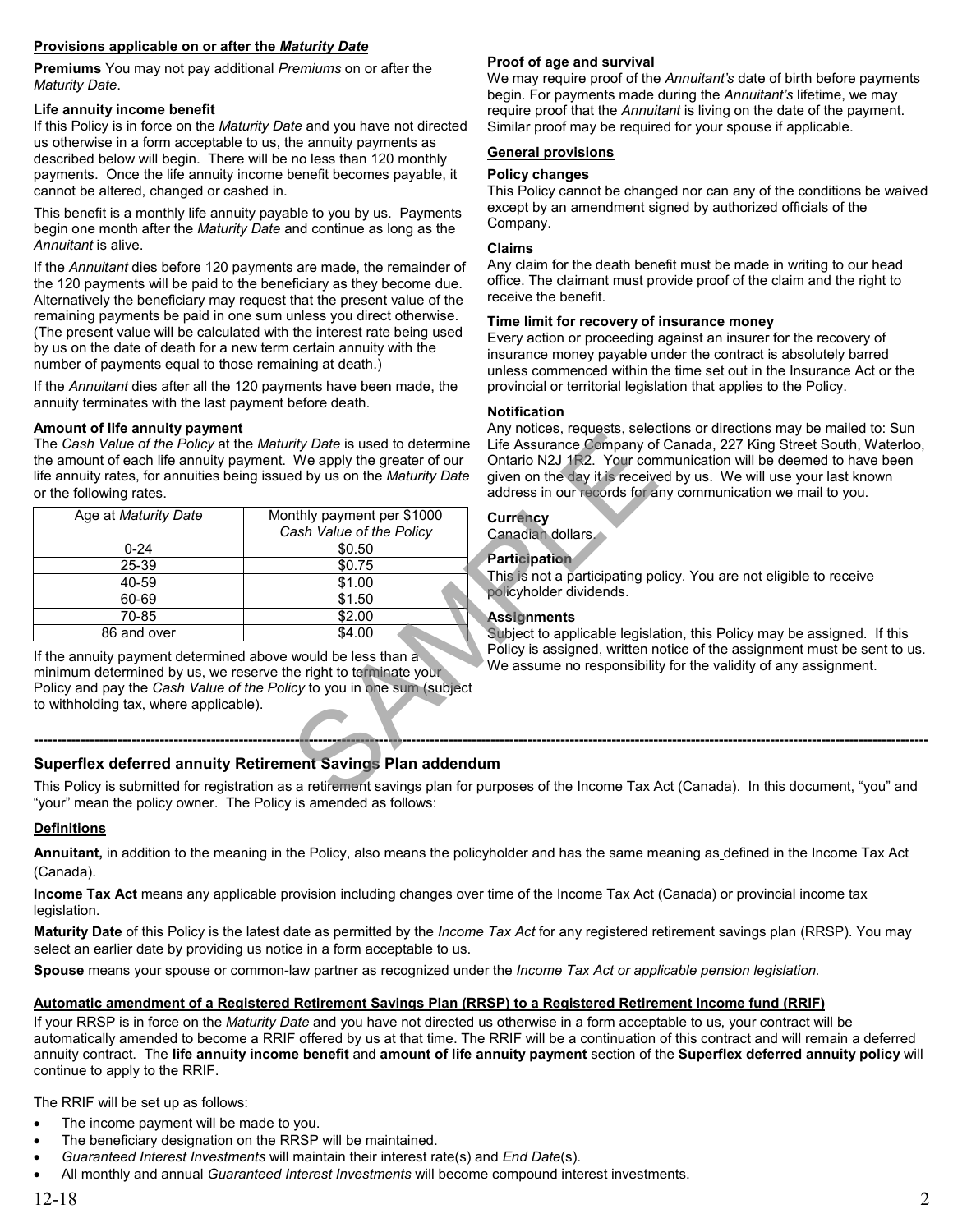# **Provisions applicable on or after the** *Maturity Date*

**Premiums** You may not pay additional *Premiums* on or after the *Maturity Date*.

## **Life annuity income benefit**

If this Policy is in force on the *Maturity Date* and you have not directed us otherwise in a form acceptable to us, the annuity payments as described below will begin. There will be no less than 120 monthly payments. Once the life annuity income benefit becomes payable, it cannot be altered, changed or cashed in.

This benefit is a monthly life annuity payable to you by us. Payments begin one month after the *Maturity Date* and continue as long as the *Annuitant* is alive.

If the *Annuitant* dies before 120 payments are made, the remainder of the 120 payments will be paid to the beneficiary as they become due. Alternatively the beneficiary may request that the present value of the remaining payments be paid in one sum unless you direct otherwise. (The present value will be calculated with the interest rate being used by us on the date of death for a new term certain annuity with the number of payments equal to those remaining at death.)

If the *Annuitant* dies after all the 120 payments have been made, the annuity terminates with the last payment before death.

## **Amount of life annuity payment**

| Anivant of my annunty payment<br>or the following rates.                                                                                                                   | The Cash Value of the Policy at the Maturity Date is used to determine<br>the amount of each life annuity payment. We apply the greater of our<br>life annuity rates, for annuities being issued by us on the Maturity Date                 | Any notices, requests, scied<br>Life Assurance Company of<br>Ontario N2J 1R2. Your con<br>given on the day it is receive<br>address in our records for a                         |
|----------------------------------------------------------------------------------------------------------------------------------------------------------------------------|---------------------------------------------------------------------------------------------------------------------------------------------------------------------------------------------------------------------------------------------|----------------------------------------------------------------------------------------------------------------------------------------------------------------------------------|
| Age at Maturity Date<br>0-24<br>25-39<br>40-59<br>60-69<br>70-85<br>86 and over                                                                                            | Monthly payment per \$1000<br>Cash Value of the Policy<br>\$0.50<br>\$0.75<br>\$1.00<br>\$1.50<br>\$2.00<br>\$4.00                                                                                                                          | <b>Currency</b><br>Canadian dollars.<br><b>Participation</b><br>This is not a participating po<br>policyholder dividends.<br><b>Assignments</b><br>Subject to applicable legisla |
| If the annuity payment determined above would be less than a<br>minimum determined by us, we reserve the right to terminate your<br>to withholding tax, where applicable). | Policy and pay the Cash Value of the Policy to you in one sum (subject                                                                                                                                                                      | Policy is assigned, written n<br>We assume no responsibilit                                                                                                                      |
|                                                                                                                                                                            | Superflex deferred annuity Retirement Savings Plan addendum                                                                                                                                                                                 |                                                                                                                                                                                  |
|                                                                                                                                                                            | This Policy is submitted for registration as a retirement savings plan for purposes of the Income Tax $\ell$<br>$\mathbf{r}$ , and the contract of $\mathbf{r}$ , and $\mathbf{r}$ , and $\mathbf{r}$ , and $\mathbf{r}$ , and $\mathbf{r}$ |                                                                                                                                                                                  |

# **Proof of age and survival**

We may require proof of the *Annuitant's* date of birth before payments begin. For payments made during the *Annuitant's* lifetime, we may require proof that the *Annuitant* is living on the date of the payment. Similar proof may be required for your spouse if applicable.

# **General provisions**

## **Policy changes**

This Policy cannot be changed nor can any of the conditions be waived except by an amendment signed by authorized officials of the Company.

## **Claims**

Any claim for the death benefit must be made in writing to our head office. The claimant must provide proof of the claim and the right to receive the benefit.

## **Time limit for recovery of insurance money**

Every action or proceeding against an insurer for the recovery of insurance money payable under the contract is absolutely barred unless commenced within the time set out in the Insurance Act or the provincial or territorial legislation that applies to the Policy.

## **Notification**

Any notices, requests, selections or directions may be mailed to: Sun Life Assurance Company of Canada, 227 King Street South, Waterloo, Ontario N2J 1R2. Your communication will be deemed to have been given on the day it is received by us. We will use your last known address in our records for any communication we mail to you.

# **Currency**

## **Participation**

This is not a participating policy. You are not eligible to receive policyholder dividends.

## **Assignments**

Subject to applicable legislation, this Policy may be assigned. If this Policy is assigned, written notice of the assignment must be sent to us. We assume no responsibility for the validity of any assignment.

# **Superflex deferred annuity Retirement Savings Plan addendum**

This Policy is submitted for registration as a retirement savings plan for purposes of the Income Tax Act (Canada). In this document, "you" and "your" mean the policy owner. The Policy is amended as follows:

**------------------------------------------------------------------------------------------------------------------------------------------------------------------------------------------------** 

## **Definitions**

**Annuitant,** in addition to the meaning in the Policy, also means the policyholder and has the same meaning as defined in the Income Tax Act (Canada).

**Income Tax Act** means any applicable provision including changes over time of the Income Tax Act (Canada) or provincial income tax legislation.

**Maturity Date** of this Policy is the latest date as permitted by the *Income Tax Act* for any registered retirement savings plan (RRSP). You may select an earlier date by providing us notice in a form acceptable to us.

**Spouse** means your spouse or common-law partner as recognized under the *Income Tax Act or applicable pension legislation.* 

## **Automatic amendment of a Registered Retirement Savings Plan (RRSP) to a Registered Retirement Income fund (RRIF)**

If your RRSP is in force on the *Maturity Date* and you have not directed us otherwise in a form acceptable to us, your contract will be automatically amended to become a RRIF offered by us at that time. The RRIF will be a continuation of this contract and will remain a deferred annuity contract. The **life annuity income benefit** and **amount of life annuity payment** section of the **Superflex deferred annuity policy** will continue to apply to the RRIF.

The RRIF will be set up as follows:

- The income payment will be made to you.
- The beneficiary designation on the RRSP will be maintained.
- *Guaranteed Interest Investments* will maintain their interest rate(s) and *End Date*(s).
- All monthly and annual *Guaranteed Interest Investments* will become compound interest investments.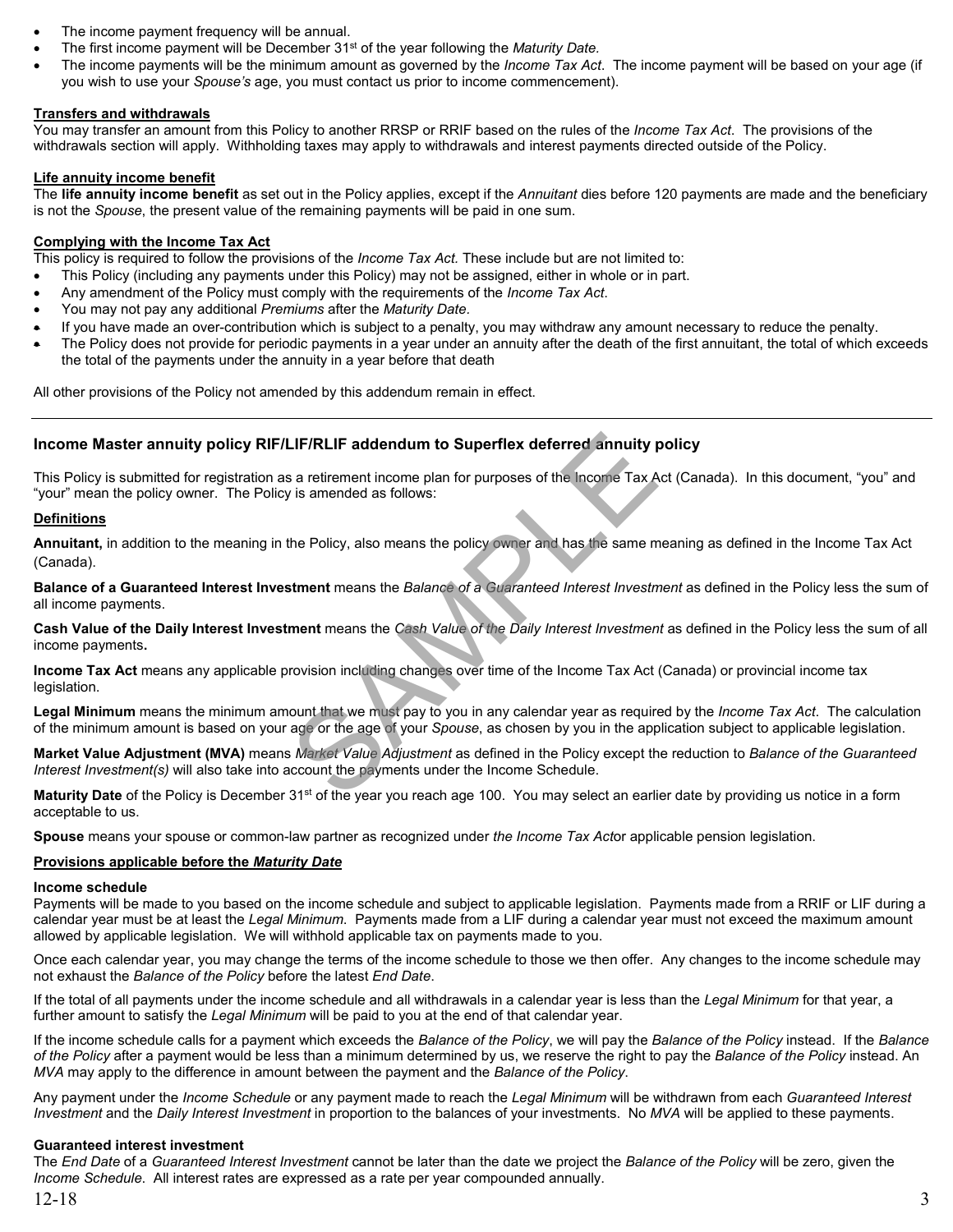- The income payment frequency will be annual.
- The first income payment will be December 31st of the year following the *Maturity Date.*
- The income payments will be the minimum amount as governed by the *Income Tax Act*. The income payment will be based on your age (if you wish to use your *Spouse's* age, you must contact us prior to income commencement).

## **Transfers and withdrawals**

You may transfer an amount from this Policy to another RRSP or RRIF based on the rules of the *Income Tax Act*. The provisions of the withdrawals section will apply. Withholding taxes may apply to withdrawals and interest payments directed outside of the Policy.

# **Life annuity income benefit**

The **life annuity income benefit** as set out in the Policy applies, except if the *Annuitant* dies before 120 payments are made and the beneficiary is not the *Spouse*, the present value of the remaining payments will be paid in one sum.

### **Complying with the Income Tax Act**

This policy is required to follow the provisions of the *Income Tax Act.* These include but are not limited to:

- This Policy (including any payments under this Policy) may not be assigned, either in whole or in part.
- Any amendment of the Policy must comply with the requirements of the *Income Tax Act*.
- You may not pay any additional *Premiums* after the *Maturity Date.*
- If you have made an over-contribution which is subject to a penalty, you may withdraw any amount necessary to reduce the penalty.
- The Policy does not provide for periodic payments in a year under an annuity after the death of the first annuitant, the total of which exceeds the total of the payments under the annuity in a year before that death

All other provisions of the Policy not amended by this addendum remain in effect.

## **Income Master annuity policy RIF/LIF/RLIF addendum to Superflex deferred annuity policy**

This Policy is submitted for registration as a retirement income plan for purposes of the Income Tax Act (Canada). In this document, "you" and "your" mean the policy owner. The Policy is amended as follows: LIF/RLIF addendum to Superflex deferred annuity  $\mu$ <br>
is a retirement income plan for purposes of the lncome Tax A<br>
is amended as follows:<br>
the Policy, also means the policy owner and has the same m<br>
struent means the *Ba* 

## **Definitions**

**Annuitant,** in addition to the meaning in the Policy, also means the policy owner and has the same meaning as defined in the Income Tax Act (Canada).

**Balance of a Guaranteed Interest Investment** means the *Balance of a Guaranteed Interest Investment* as defined in the Policy less the sum of all income payments.

**Cash Value of the Daily Interest Investment** means the *Cash Value of the Daily Interest Investment* as defined in the Policy less the sum of all income payments**.** 

**Income Tax Act** means any applicable provision including changes over time of the Income Tax Act (Canada) or provincial income tax legislation.

**Legal Minimum** means the minimum amount that we must pay to you in any calendar year as required by the *Income Tax Act*. The calculation of the minimum amount is based on your age or the age of your *Spouse*, as chosen by you in the application subject to applicable legislation.

**Market Value Adjustment (MVA)** means *Market Value Adjustment* as defined in the Policy except the reduction to *Balance of the Guaranteed Interest Investment(s)* will also take into account the payments under the Income Schedule.

Maturity Date of the Policy is December 31<sup>st</sup> of the year you reach age 100. You may select an earlier date by providing us notice in a form acceptable to us.

**Spouse** means your spouse or common-law partner as recognized under *the Income Tax Act*or applicable pension legislation.

### **Provisions applicable before the** *Maturity Date*

### **Income schedule**

Payments will be made to you based on the income schedule and subject to applicable legislation.Payments made from a RRIF or LIF during a calendar year must be at least the *Legal Minimum*. Payments made from a LIF during a calendar year must not exceed the maximum amount allowed by applicable legislation. We will withhold applicable tax on payments made to you.

Once each calendar year, you may change the terms of the income schedule to those we then offer. Any changes to the income schedule may not exhaust the *Balance of the Policy* before the latest *End Date*.

If the total of all payments under the income schedule and all withdrawals in a calendar year is less than the *Legal Minimum* for that year, a further amount to satisfy the *Legal Minimum* will be paid to you at the end of that calendar year.

If the income schedule calls for a payment which exceeds the *Balance of the Policy*, we will pay the *Balance of the Policy* instead. If the *Balance of the Policy* after a payment would be less than a minimum determined by us, we reserve the right to pay the *Balance of the Policy* instead. An *MVA* may apply to the difference in amount between the payment and the *Balance of the Policy*.

Any payment under the *Income Schedule* or any payment made to reach the *Legal Minimum* will be withdrawn from each *Guaranteed Interest Investment* and the *Daily Interest Investment* in proportion to the balances of your investments. No *MVA* will be applied to these payments.

### **Guaranteed interest investment**

The *End Date* of a *Guaranteed Interest Investment* cannot be later than the date we project the *Balance of the Policy* will be zero, given the *Income Schedule*. All interest rates are expressed as a rate per year compounded annually.